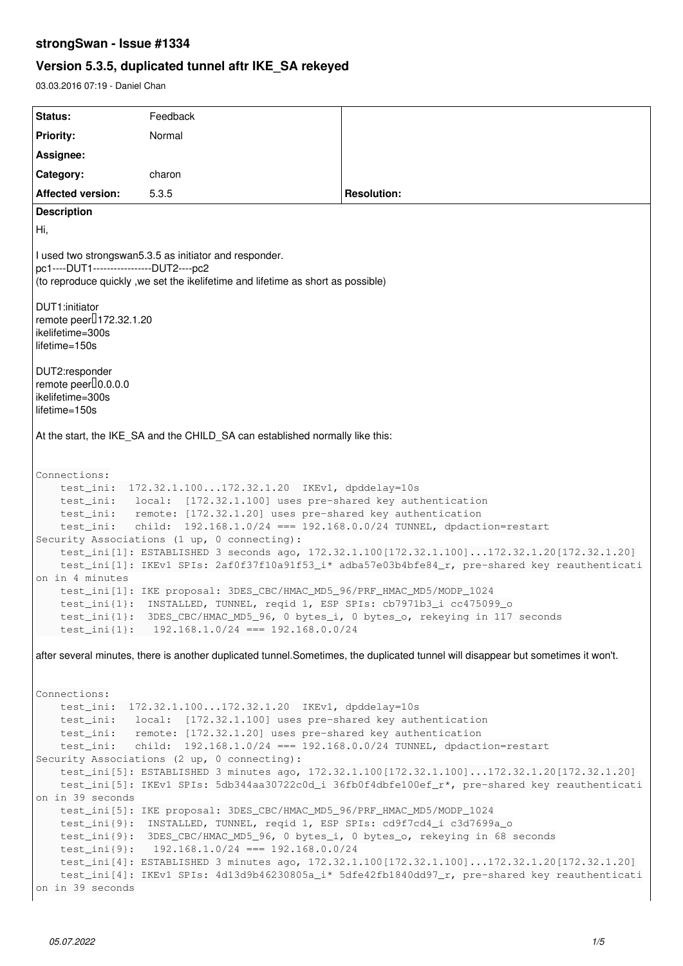# **strongSwan - Issue #1334**

# **Version 5.3.5, duplicated tunnel aftr IKE\_SA rekeyed**

03.03.2016 07:19 - Daniel Chan

| Status:                                                                                                                                                                                                                                                                                                                                                                                                                                                                                                                             | Feedback                                                                                                                                                                                              |                                                                                                                                                                                              |  |  |
|-------------------------------------------------------------------------------------------------------------------------------------------------------------------------------------------------------------------------------------------------------------------------------------------------------------------------------------------------------------------------------------------------------------------------------------------------------------------------------------------------------------------------------------|-------------------------------------------------------------------------------------------------------------------------------------------------------------------------------------------------------|----------------------------------------------------------------------------------------------------------------------------------------------------------------------------------------------|--|--|
| <b>Priority:</b>                                                                                                                                                                                                                                                                                                                                                                                                                                                                                                                    | Normal                                                                                                                                                                                                |                                                                                                                                                                                              |  |  |
| Assignee:                                                                                                                                                                                                                                                                                                                                                                                                                                                                                                                           |                                                                                                                                                                                                       |                                                                                                                                                                                              |  |  |
| Category:                                                                                                                                                                                                                                                                                                                                                                                                                                                                                                                           | charon                                                                                                                                                                                                |                                                                                                                                                                                              |  |  |
| <b>Affected version:</b>                                                                                                                                                                                                                                                                                                                                                                                                                                                                                                            | 5.3.5                                                                                                                                                                                                 | <b>Resolution:</b>                                                                                                                                                                           |  |  |
| <b>Description</b>                                                                                                                                                                                                                                                                                                                                                                                                                                                                                                                  |                                                                                                                                                                                                       |                                                                                                                                                                                              |  |  |
| Hi,                                                                                                                                                                                                                                                                                                                                                                                                                                                                                                                                 |                                                                                                                                                                                                       |                                                                                                                                                                                              |  |  |
| I used two strongswan5.3.5 as initiator and responder.<br>pc1----DUT1----------------DUT2----pc2<br>(to reproduce quickly, we set the ikelifetime and lifetime as short as possible)                                                                                                                                                                                                                                                                                                                                                |                                                                                                                                                                                                       |                                                                                                                                                                                              |  |  |
| DUT1:initiator<br>remote peer <sup>[]</sup> 172.32.1.20<br>ikelifetime=300s<br>lifetime=150s                                                                                                                                                                                                                                                                                                                                                                                                                                        |                                                                                                                                                                                                       |                                                                                                                                                                                              |  |  |
| DUT2:responder<br>remote peer <sup>[0.0.0.0]</sup><br>ikelifetime=300s<br>lifetime=150s                                                                                                                                                                                                                                                                                                                                                                                                                                             |                                                                                                                                                                                                       |                                                                                                                                                                                              |  |  |
| At the start, the IKE_SA and the CHILD_SA can established normally like this:                                                                                                                                                                                                                                                                                                                                                                                                                                                       |                                                                                                                                                                                                       |                                                                                                                                                                                              |  |  |
| Connections:                                                                                                                                                                                                                                                                                                                                                                                                                                                                                                                        |                                                                                                                                                                                                       |                                                                                                                                                                                              |  |  |
| test_ini: 172.32.1.100172.32.1.20 IKEv1, dpddelay=10s<br>test_ini: local: [172.32.1.100] uses pre-shared key authentication<br>test_ini: remote: [172.32.1.20] uses pre-shared key authentication<br>child: 192.168.1.0/24 === 192.168.0.0/24 TUNNEL, dpdaction=restart<br>test_ini:<br>Security Associations (1 up, 0 connecting):<br>test_ini[1]: ESTABLISHED 3 seconds ago, 172.32.1.100[172.32.1.100]172.32.1.20[172.32.1.20]<br>test_ini[1]: IKEv1 SPIs: 2af0f37f10a91f53_i* adba57e03b4bfe84_r, pre-shared key reauthenticati |                                                                                                                                                                                                       |                                                                                                                                                                                              |  |  |
| on in 4 minutes                                                                                                                                                                                                                                                                                                                                                                                                                                                                                                                     |                                                                                                                                                                                                       |                                                                                                                                                                                              |  |  |
|                                                                                                                                                                                                                                                                                                                                                                                                                                                                                                                                     | test_ini[1]: IKE proposal: 3DES_CBC/HMAC_MD5_96/PRF_HMAC_MD5/MODP_1024<br>test_ini{1}: INSTALLED, TUNNEL, reqid 1, ESP SPIs: cb7971b3_i cc475099_o<br>test_ini{1}: $192.168.1.0/24 == 192.168.0.0/24$ | test_ini{1}: 3DES_CBC/HMAC_MD5_96, 0 bytes_i, 0 bytes_o, rekeying in 117 seconds                                                                                                             |  |  |
| after several minutes, there is another duplicated tunnel. Sometimes, the duplicated tunnel will disappear but sometimes it won't.                                                                                                                                                                                                                                                                                                                                                                                                  |                                                                                                                                                                                                       |                                                                                                                                                                                              |  |  |
| Connections:                                                                                                                                                                                                                                                                                                                                                                                                                                                                                                                        |                                                                                                                                                                                                       |                                                                                                                                                                                              |  |  |
| 172.32.1.100172.32.1.20 IKEv1, dpddelay=10s<br>test_ini:<br>local: [172.32.1.100] uses pre-shared key authentication<br>test_ini:<br>remote: [172.32.1.20] uses pre-shared key authentication<br>test_ini:                                                                                                                                                                                                                                                                                                                          |                                                                                                                                                                                                       |                                                                                                                                                                                              |  |  |
| child: 192.168.1.0/24 === 192.168.0.0/24 TUNNEL, dpdaction=restart<br>test_ini:                                                                                                                                                                                                                                                                                                                                                                                                                                                     |                                                                                                                                                                                                       |                                                                                                                                                                                              |  |  |
|                                                                                                                                                                                                                                                                                                                                                                                                                                                                                                                                     | Security Associations (2 up, 0 connecting):                                                                                                                                                           | test_ini[5]: ESTABLISHED 3 minutes ago, 172.32.1.100[172.32.1.100]172.32.1.20[172.32.1.20]<br>test_ini[5]: IKEv1 SPIs: 5db344aa30722c0d_i 36fb0f4dbfe100ef_r*, pre-shared key reauthenticati |  |  |
| on in 39 seconds                                                                                                                                                                                                                                                                                                                                                                                                                                                                                                                    |                                                                                                                                                                                                       |                                                                                                                                                                                              |  |  |
|                                                                                                                                                                                                                                                                                                                                                                                                                                                                                                                                     | test_ini[5]: IKE proposal: 3DES_CBC/HMAC_MD5_96/PRF_HMAC_MD5/MODP_1024<br>test_ini{9}: INSTALLED, TUNNEL, reqid 1, ESP SPIs: cd9f7cd4_i c3d7699a_o                                                    |                                                                                                                                                                                              |  |  |
|                                                                                                                                                                                                                                                                                                                                                                                                                                                                                                                                     |                                                                                                                                                                                                       | test_ini{9}: 3DES_CBC/HMAC_MD5_96, 0 bytes_i, 0 bytes_o, rekeying in 68 seconds                                                                                                              |  |  |
|                                                                                                                                                                                                                                                                                                                                                                                                                                                                                                                                     | test_ini{9}: 192.168.1.0/24 === 192.168.0.0/24                                                                                                                                                        | test_ini[4]: ESTABLISHED 3 minutes ago, 172.32.1.100[172.32.1.100]172.32.1.20[172.32.1.20]                                                                                                   |  |  |
| on in 39 seconds                                                                                                                                                                                                                                                                                                                                                                                                                                                                                                                    |                                                                                                                                                                                                       | test_ini[4]: IKEv1 SPIs: 4d13d9b46230805a_i* 5dfe42fb1840dd97_r, pre-shared key reauthenticati                                                                                               |  |  |
|                                                                                                                                                                                                                                                                                                                                                                                                                                                                                                                                     |                                                                                                                                                                                                       |                                                                                                                                                                                              |  |  |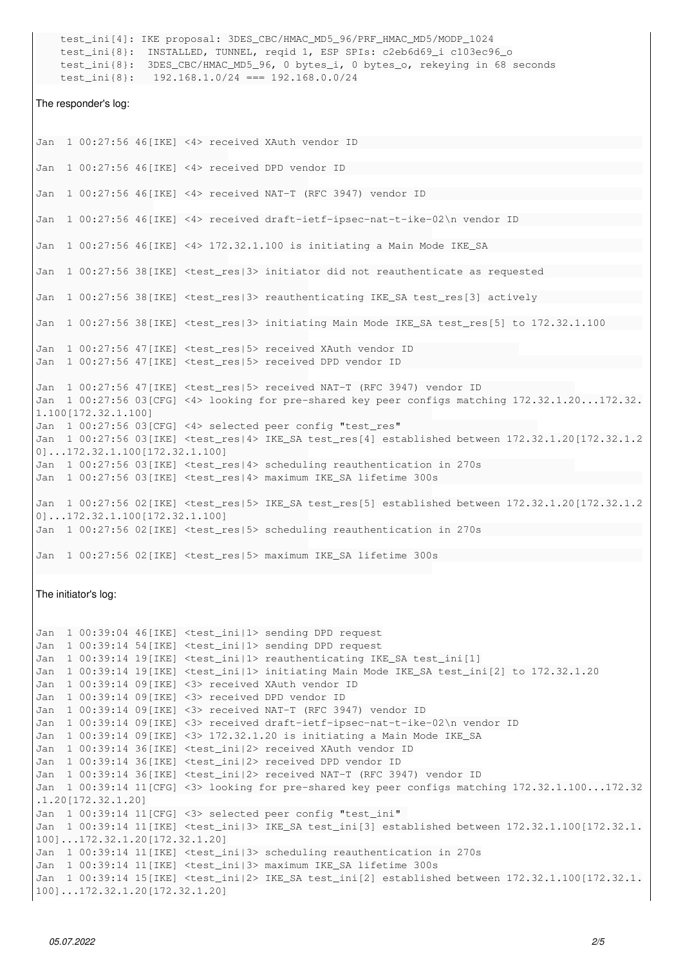test\_ini[4]: IKE proposal: 3DES\_CBC/HMAC\_MD5\_96/PRF\_HMAC\_MD5/MODP\_1024 test\_ini{8}: INSTALLED, TUNNEL, reqid 1, ESP SPIs: c2eb6d69\_i c103ec96\_o test\_ini{8}: 3DES\_CBC/HMAC\_MD5\_96, 0 bytes\_i, 0 bytes\_o, rekeying in 68 seconds test\_ini{8}: 192.168.1.0/24 === 192.168.0.0/24 The responder's log: Jan 1 00:27:56 46[IKE] <4> received XAuth vendor ID Jan 1 00:27:56 46[IKE] <4> received DPD vendor ID Jan 1 00:27:56 46[IKE] <4> received NAT-T (RFC 3947) vendor ID Jan 1 00:27:56 46[IKE] <4> received draft-ietf-ipsec-nat-t-ike-02\n vendor ID Jan 1 00:27:56 46[IKE] <4> 172.32.1.100 is initiating a Main Mode IKE\_SA Jan 1 00:27:56 38[IKE] <test\_res|3> initiator did not reauthenticate as requested Jan 1 00:27:56 38[IKE] <test\_res|3> reauthenticating IKE\_SA test\_res[3] actively Jan 1 00:27:56 38[IKE] <test\_res|3> initiating Main Mode IKE\_SA test\_res[5] to 172.32.1.100 Jan 1 00:27:56 47[IKE] <test\_res|5> received XAuth vendor ID Jan 1 00:27:56 47[IKE] <test\_res|5> received DPD vendor ID Jan 1 00:27:56 47[IKE] <test\_res|5> received NAT-T (RFC 3947) vendor ID Jan 1 00:27:56 03[CFG] <4> looking for pre-shared key peer configs matching 172.32.1.20...172.32. 1.100[172.32.1.100] Jan 1 00:27:56 03[CFG] <4> selected peer config "test\_res" Jan 1 00:27:56 03[IKE] <test\_res|4> IKE\_SA test\_res[4] established between 172.32.1.20[172.32.1.2 0]...172.32.1.100[172.32.1.100] Jan 1 00:27:56 03[IKE] <test\_res|4> scheduling reauthentication in 270s Jan 1 00:27:56 03[IKE] <test\_res|4> maximum IKE\_SA lifetime 300s Jan 1 00:27:56 02[IKE] <test\_res|5> IKE\_SA test\_res[5] established between 172.32.1.20[172.32.1.2 0]...172.32.1.100[172.32.1.100] Jan 1 00:27:56 02[IKE] <test\_res|5> scheduling reauthentication in 270s Jan 1 00:27:56 02[IKE] <test\_res|5> maximum IKE\_SA lifetime 300s The initiator's log: Jan 1 00:39:04 46[IKE] <test\_ini|1> sending DPD request Jan 1 00:39:14 54[IKE] <test\_ini|1> sending DPD request Jan 1 00:39:14 19[IKE] <test\_ini|1> reauthenticating IKE\_SA test\_ini[1] Jan 1 00:39:14 19[IKE] <test\_ini|1> initiating Main Mode IKE\_SA test\_ini[2] to 172.32.1.20 Jan 1 00:39:14 09[IKE] <3> received XAuth vendor ID Jan 1 00:39:14 09[IKE] <3> received DPD vendor ID Jan 1 00:39:14 09[IKE] <3> received NAT-T (RFC 3947) vendor ID Jan 1 00:39:14 09[IKE] <3> received draft-ietf-ipsec-nat-t-ike-02\n vendor ID Jan 1 00:39:14 09[IKE] <3> 172.32.1.20 is initiating a Main Mode IKE\_SA Jan 1 00:39:14 36[IKE] <test\_ini|2> received XAuth vendor ID Jan 1 00:39:14 36[IKE] <test\_ini|2> received DPD vendor ID Jan 1 00:39:14 36[IKE] <test\_ini|2> received NAT-T (RFC 3947) vendor ID

Jan 1 00:39:14 11[CFG] <3> looking for pre-shared key peer configs matching 172.32.1.100...172.32 .1.20[172.32.1.20] Jan 1 00:39:14 11[CFG] <3> selected peer config "test\_ini" Jan 1 00:39:14 11[IKE] <test\_ini|3> IKE\_SA test\_ini[3] established between 172.32.1.100[172.32.1. 100]...172.32.1.20[172.32.1.20] Jan 1 00:39:14 11[IKE] <test\_ini|3> scheduling reauthentication in 270s Jan 1 00:39:14 11[IKE] <test\_ini|3> maximum IKE\_SA lifetime 300s

Jan 1 00:39:14 15[IKE] <test\_ini|2> IKE\_SA test\_ini[2] established between 172.32.1.100[172.32.1. 100]...172.32.1.20[172.32.1.20]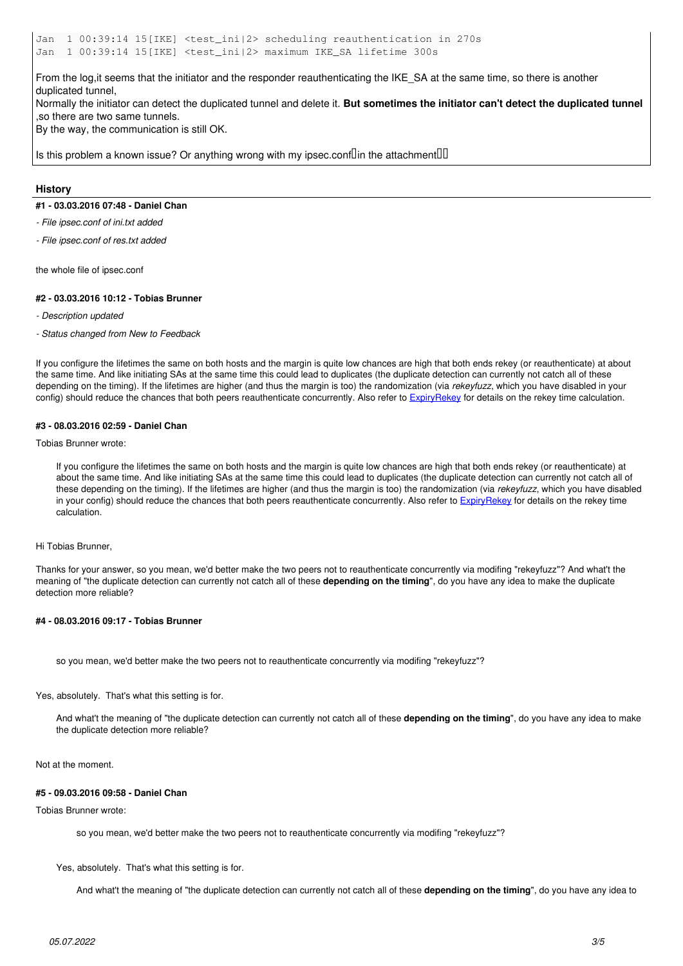Jan 1 00:39:14 15[IKE] <test\_ini|2> scheduling reauthentication in 270s Jan 1 00:39:14 15[IKE] <test\_ini|2> maximum IKE\_SA lifetime 300s

From the log,it seems that the initiator and the responder reauthenticating the IKE\_SA at the same time, so there is another duplicated tunnel,

Normally the initiator can detect the duplicated tunnel and delete it. **But sometimes the initiator can't detect the duplicated tunnel** ,so there are two same tunnels.

By the way, the communication is still OK.

Is this problem a known issue? Or anything wrong with my ipsec.conf $\mathbb{I}$ in the attachment $\mathbb{I} \mathbb{I}$ 

#### **History**

#### **#1 - 03.03.2016 07:48 - Daniel Chan**

*- File ipsec.conf of ini.txt added*

*- File ipsec.conf of res.txt added*

the whole file of ipsec.conf

#### **#2 - 03.03.2016 10:12 - Tobias Brunner**

- *Description updated*
- *Status changed from New to Feedback*

If you configure the lifetimes the same on both hosts and the margin is quite low chances are high that both ends rekey (or reauthenticate) at about the same time. And like initiating SAs at the same time this could lead to duplicates (the duplicate detection can currently not catch all of these depending on the timing). If the lifetimes are higher (and thus the margin is too) the randomization (via *rekeyfuzz*, which you have disabled in your config) should reduce the chances that both peers reauthenticate concurrently. Also refer to [ExpiryRekey](https://wiki.strongswan.org/projects/strongswan/wiki/ExpiryRekey) for details on the rekey time calculation.

#### **#3 - 08.03.2016 02:59 - Daniel Chan**

Tobias Brunner wrote:

If you configure the lifetimes the same on both hosts and the margin is quite low chances are high that both ends rekey (or reauthenticate) at about the same time. And like initiating SAs at the same time this could lead to duplicates (the duplicate detection can currently not catch all of these depending on the timing). If the lifetimes are higher (and thus the margin is too) the randomization (via *rekeyfuzz*, which you have disabled in your config) should reduce the chances that both peers reauthenticate concurrently. Also refer to [ExpiryRekey](https://wiki.strongswan.org/projects/strongswan/wiki/ExpiryRekey) for details on the rekey time calculation.

#### Hi Tobias Brunner,

Thanks for your answer, so you mean, we'd better make the two peers not to reauthenticate concurrently via modifing "rekeyfuzz"? And what't the meaning of "the duplicate detection can currently not catch all of these **depending on the timing**", do you have any idea to make the duplicate detection more reliable?

#### **#4 - 08.03.2016 09:17 - Tobias Brunner**

so you mean, we'd better make the two peers not to reauthenticate concurrently via modifing "rekeyfuzz"?

Yes, absolutely. That's what this setting is for.

And what't the meaning of "the duplicate detection can currently not catch all of these **depending on the timing**", do you have any idea to make the duplicate detection more reliable?

Not at the moment.

#### **#5 - 09.03.2016 09:58 - Daniel Chan**

#### Tobias Brunner wrote:

so you mean, we'd better make the two peers not to reauthenticate concurrently via modifing "rekeyfuzz"?

Yes, absolutely. That's what this setting is for.

And what't the meaning of "the duplicate detection can currently not catch all of these **depending on the timing**", do you have any idea to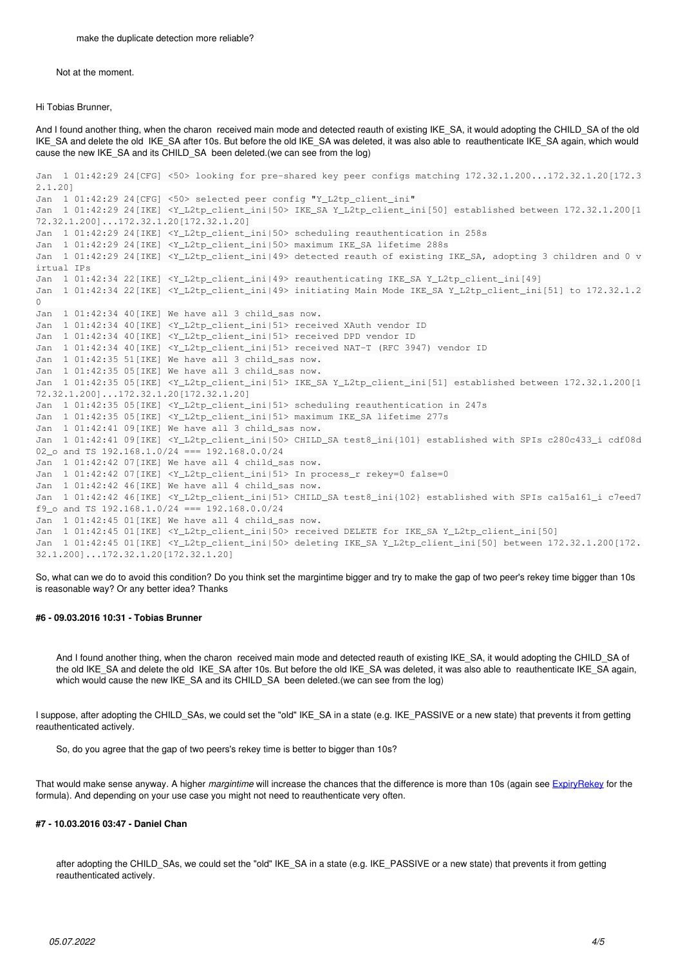Not at the moment.

Hi Tobias Brunner,

And I found another thing, when the charon received main mode and detected reauth of existing IKE\_SA, it would adopting the CHILD\_SA of the old IKE\_SA and delete the old IKE\_SA after 10s. But before the old IKE\_SA was deleted, it was also able to reauthenticate IKE\_SA again, which would cause the new IKE\_SA and its CHILD\_SA been deleted.(we can see from the log)

```
Jan  1 01:42:29 24[CFG] <50> looking for pre-shared key peer configs matching 172.32.1.200...172.32.1.20[172.3
2.1.20]
Jan  1 01:42:29 24[CFG] <50> selected peer config "Y_L2tp_client_ini" 
Jan  1 01:42:29 24[IKE] <Y_L2tp_client_ini|50> IKE_SA Y_L2tp_client_ini[50] established between 172.32.1.200[1
72.32.1.200]...172.32.1.20[172.32.1.20]
Jan  1 01:42:29 24[IKE] <Y_L2tp_client_ini|50> scheduling reauthentication in 258s
Jan  1 01:42:29 24[IKE] <Y_L2tp_client_ini|50> maximum IKE_SA lifetime 288s
Jan  1 01:42:29 24[IKE] <Y_L2tp_client_ini|49> detected reauth of existing IKE_SA, adopting 3 children and 0 v
irtual IPs
Jan  1 01:42:34 22[IKE] <Y_L2tp_client_ini|49> reauthenticating IKE_SA Y_L2tp_client_ini[49]
Jan  1 01:42:34 22[IKE] <Y_L2tp_client_ini|49> initiating Main Mode IKE_SA Y_L2tp_client_ini[51] to 172.32.1.2
\capJan  1 01:42:34 40[IKE] We have all 3 child_sas now.
Jan  1 01:42:34 40[IKE] <Y_L2tp_client_ini|51> received XAuth vendor ID
Jan  1 01:42:34 40[IKE] <Y_L2tp_client_ini|51> received DPD vendor ID
Jan  1 01:42:34 40[IKE] <Y_L2tp_client_ini|51> received NAT-T (RFC 3947) vendor ID
Jan  1 01:42:35 51[IKE] We have all 3 child_sas now.
Jan  1 01:42:35 05[IKE] We have all 3 child_sas now.
Jan  1 01:42:35 05[IKE] <Y_L2tp_client_ini|51> IKE_SA Y_L2tp_client_ini[51] established between 172.32.1.200[1
72.32.1.200]...172.32.1.20[172.32.1.20]
Jan  1 01:42:35 05[IKE] <Y_L2tp_client_ini|51> scheduling reauthentication in 247s
Jan  1 01:42:35 05[IKE] <Y_L2tp_client_ini|51> maximum IKE_SA lifetime 277s
Jan  1 01:42:41 09[IKE] We have all 3 child_sas now.
Jan  1 01:42:41 09[IKE] <Y_L2tp_client_ini|50> CHILD_SA test8_ini{101} established with SPIs c280c433_i cdf08d
02 o and TS 192.168.1.0/24 === 192.168.0.0/24
Jan  1 01:42:42 07[IKE] We have all 4 child_sas now.
Jan 1 01:42:42 07[IKE] <Y_L2tp_client_ini|51> In process_r rekey=0 false=0
Jan  1 01:42:42 46[IKE] We have all 4 child_sas now.
Jan  1 01:42:42 46[IKE] <Y_L2tp_client_ini|51> CHILD_SA test8_ini{102} established with SPIs ca15a161_i c7eed7
f9_o and TS 192.168.1.0/24 === 192.168.0.0/24
Jan  1 01:42:45 01[IKE] We have all 4 child_sas now.
Jan  1 01:42:45 01[IKE] <Y_L2tp_client_ini|50> received DELETE for IKE_SA Y_L2tp_client_ini[50]
Jan  1 01:42:45 01[IKE] <Y_L2tp_client_ini|50> deleting IKE_SA Y_L2tp_client_ini[50] between 172.32.1.200[172.
32.1.200]...172.32.1.20[172.32.1.20]
```
So, what can we do to avoid this condition? Do you think set the margintime bigger and try to make the gap of two peer's rekey time bigger than 10s is reasonable way? Or any better idea? Thanks

#### **#6 - 09.03.2016 10:31 - Tobias Brunner**

And I found another thing, when the charon received main mode and detected reauth of existing IKE\_SA, it would adopting the CHILD\_SA of the old IKE\_SA and delete the old IKE\_SA after 10s. But before the old IKE\_SA was deleted, it was also able to reauthenticate IKE\_SA again, which would cause the new IKE\_SA and its CHILD\_SA been deleted.(we can see from the log)

I suppose, after adopting the CHILD\_SAs, we could set the "old" IKE\_SA in a state (e.g. IKE\_PASSIVE or a new state) that prevents it from getting reauthenticated actively.

So, do you agree that the gap of two peers's rekey time is better to bigger than 10s?

That would make sense anyway. A higher *margintime* will increase the chances that the difference is more than 10s (again see [ExpiryRekey](https://wiki.strongswan.org/projects/strongswan/wiki/ExpiryRekey) for the formula). And depending on your use case you might not need to reauthenticate very often.

#### **#7 - 10.03.2016 03:47 - Daniel Chan**

after adopting the CHILD\_SAs, we could set the "old" IKE\_SA in a state (e.g. IKE\_PASSIVE or a new state) that prevents it from getting reauthenticated actively.